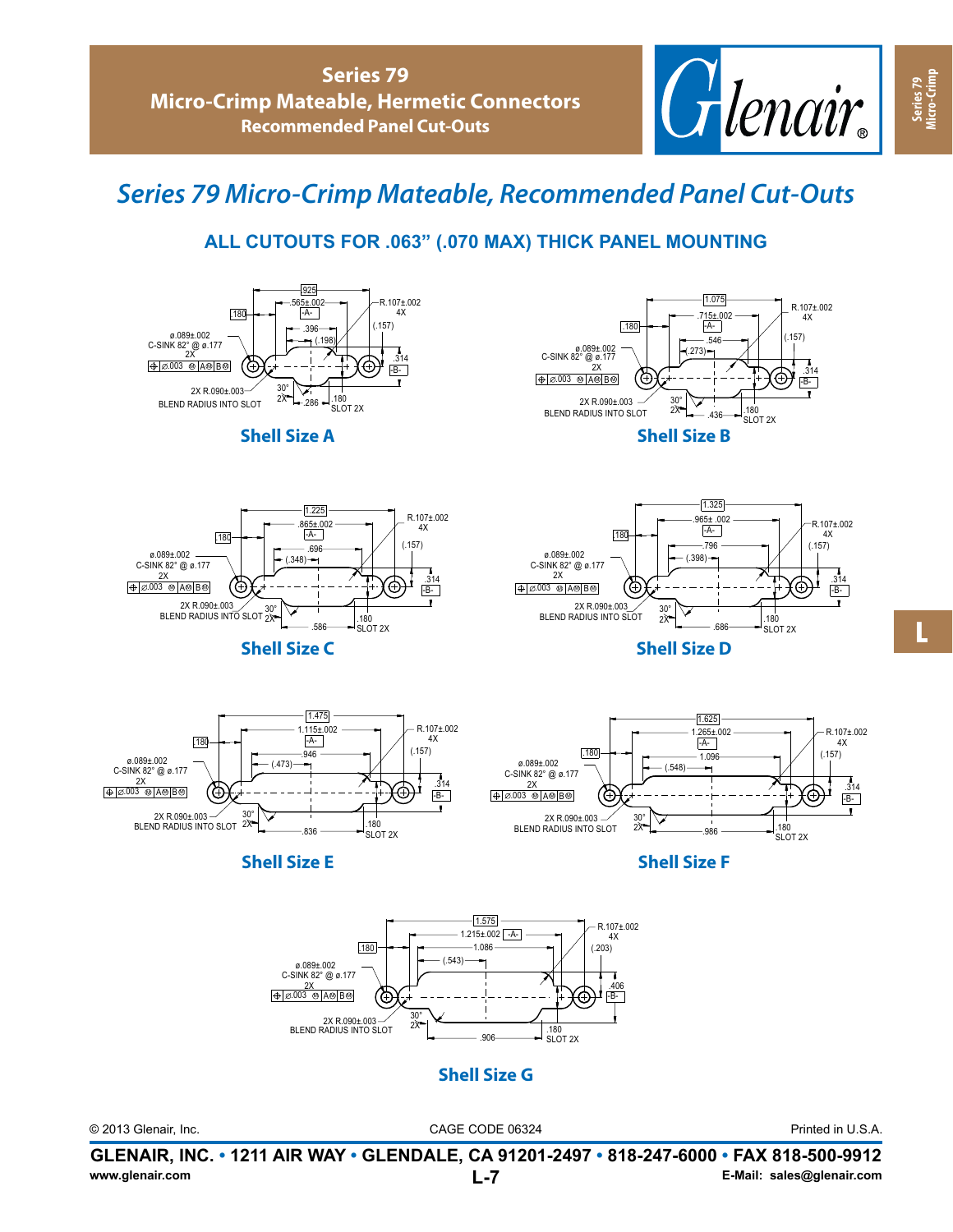

## *Series 79 Micro-Crimp Mateable, Recommended Panel Cut-Outs*

## **ALL CUTOUTS FOR .063" (.070 MAX) THICK PANEL MOUNTING**















**Shell Size D**





**Shell Size E Shell Size F**



**Shell Size G**

Printed in U.S.A.

 $-B \frac{1}{314}$ 

 $\bullet$ 

R.107±.002  $4X$ <br>(.157)

**Series 79 Micro-Crimp**